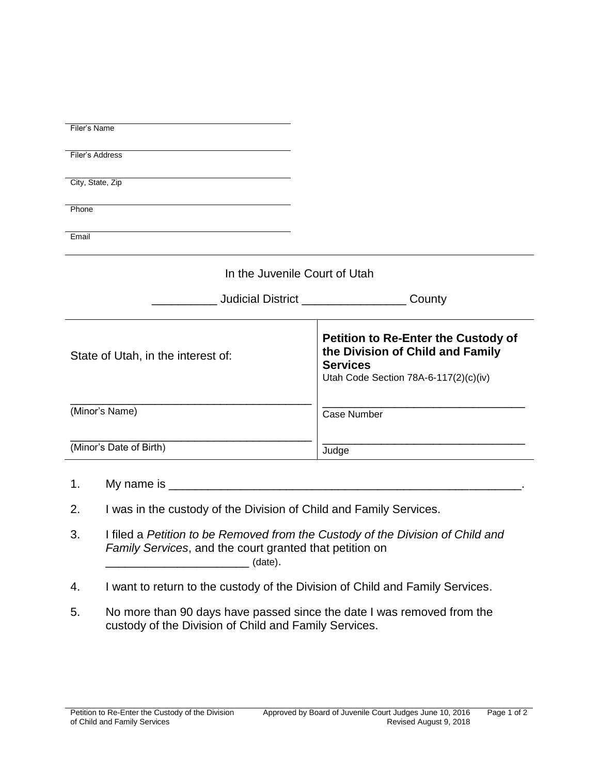| Filer's Name                                                             |                                                                                                                                            |
|--------------------------------------------------------------------------|--------------------------------------------------------------------------------------------------------------------------------------------|
| Filer's Address                                                          |                                                                                                                                            |
| City, State, Zip                                                         |                                                                                                                                            |
| Phone                                                                    |                                                                                                                                            |
| Email                                                                    |                                                                                                                                            |
| In the Juvenile Court of Utah                                            |                                                                                                                                            |
|                                                                          | <b>Judicial District Community Community</b><br>County                                                                                     |
| State of Utah, in the interest of:                                       | <b>Petition to Re-Enter the Custody of</b><br>the Division of Child and Family<br><b>Services</b><br>Utah Code Section 78A-6-117(2)(c)(iv) |
| (Minor's Name)                                                           | <b>Case Number</b>                                                                                                                         |
| (Minor's Date of Birth)                                                  | Judge                                                                                                                                      |
| 1.                                                                       |                                                                                                                                            |
| 2.<br>I was in the custody of the Division of Child and Family Services. |                                                                                                                                            |

- 3. I filed a *Petition to be Removed from the Custody of the Division of Child and Family Services*, and the court granted that petition on \_\_\_\_\_\_\_\_\_\_\_\_\_\_\_\_\_\_\_\_\_\_ (date).
- 4. I want to return to the custody of the Division of Child and Family Services.
- 5. No more than 90 days have passed since the date I was removed from the custody of the Division of Child and Family Services.